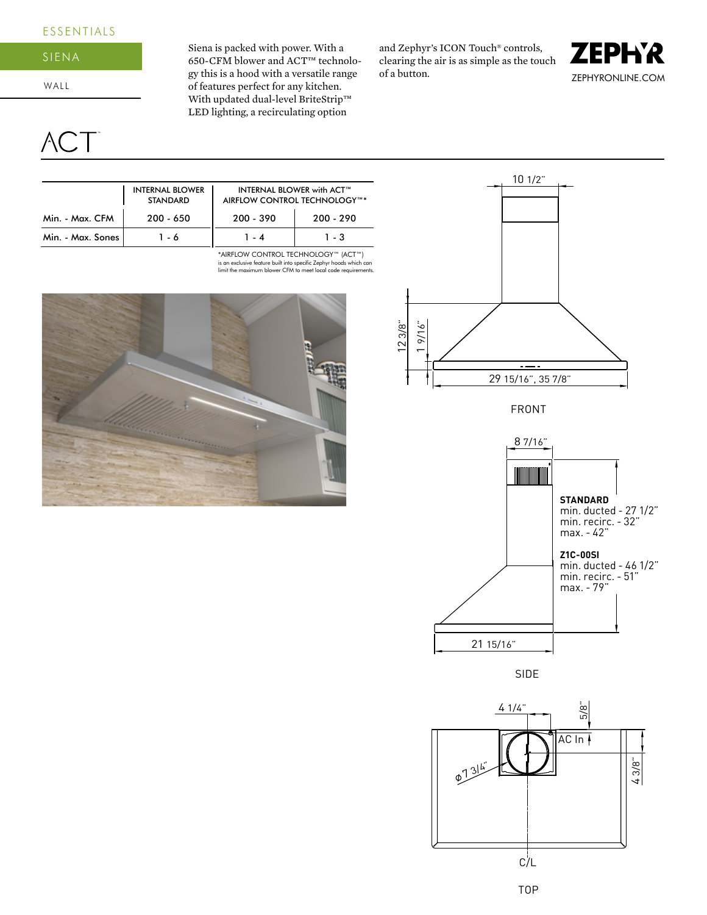## ESSENTIALS

## SIENA

WALL

CT<sup>-</sup>

Siena is packed with power. With a 650-CFM blower and ACT™ technology this is a hood with a versatile range of features perfect for any kitchen. With updated dual-level BriteStrip™ LED lighting, a recirculating option

and Zephyr's ICON Touch® controls, clearing the air is as simple as the touch of a button.





is an exclusive feature built into specific Zephyr hoods which can limit the maximum blower CFM to meet local code requirements. \*AIRFLOW CONTROL TECHNOLOGY™ (ACT™)





FRONT



SIDE